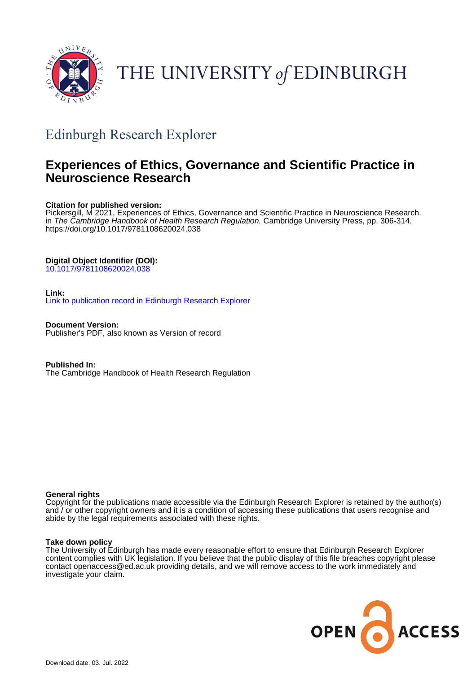

# THE UNIVERSITY of EDINBURGH

## Edinburgh Research Explorer

## **Experiences of Ethics, Governance and Scientific Practice in Neuroscience Research**

## **Citation for published version:**

Pickersgill, M 2021, Experiences of Ethics, Governance and Scientific Practice in Neuroscience Research. in *The Cambridge Handbook of Health Research Regulation.* Cambridge University Press, pp. 306-314. <https://doi.org/10.1017/9781108620024.038>

## **Digital Object Identifier (DOI):**

[10.1017/9781108620024.038](https://doi.org/10.1017/9781108620024.038)

## **Link:**

[Link to publication record in Edinburgh Research Explorer](https://www.research.ed.ac.uk/en/publications/2a67d82c-3cff-46b9-8d0e-39546eb12966)

**Document Version:** Publisher's PDF, also known as Version of record

**Published In:** The Cambridge Handbook of Health Research Regulation

## **General rights**

Copyright for the publications made accessible via the Edinburgh Research Explorer is retained by the author(s) and / or other copyright owners and it is a condition of accessing these publications that users recognise and abide by the legal requirements associated with these rights.

## **Take down policy**

The University of Edinburgh has made every reasonable effort to ensure that Edinburgh Research Explorer content complies with UK legislation. If you believe that the public display of this file breaches copyright please contact openaccess@ed.ac.uk providing details, and we will remove access to the work immediately and investigate your claim.

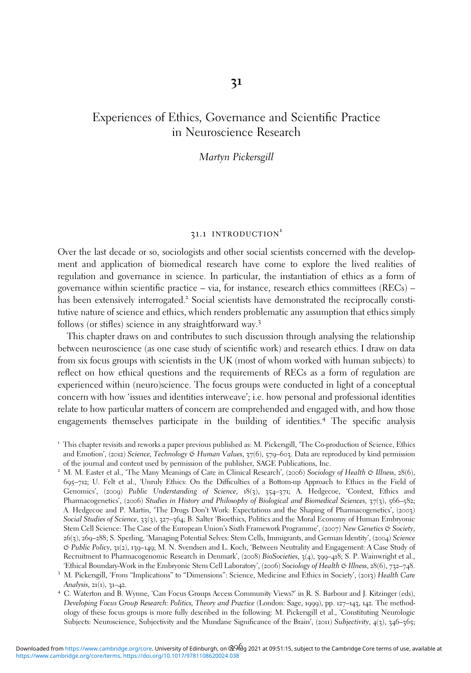## **31**

## Experiences of Ethics, Governance and Scientific Practice in Neuroscience Research

## Martyn Pickersgill

## 31.1 INTRODUCTION<sup>1</sup>

Over the last decade or so, sociologists and other social scientists concerned with the development and application of biomedical research have come to explore the lived realities of regulation and governance in science. In particular, the instantiation of ethics as a form of governance within scientific practice – via, for instance, research ethics committees ( $RECs$ ) – has been extensively interrogated.<sup>2</sup> Social scientists have demonstrated the reciprocally constitutive nature of science and ethics, which renders problematic any assumption that ethics simply follows (or stifles) science in any straightforward way.<sup>3</sup>

This chapter draws on and contributes to such discussion through analysing the relationship between neuroscience (as one case study of scientific work) and research ethics. I draw on data from six focus groups with scientists in the UK (most of whom worked with human subjects) to reflect on how ethical questions and the requirements of RECs as a form of regulation are experienced within (neuro)science. The focus groups were conducted in light of a conceptual concern with how 'issues and identities interweave'; i.e. how personal and professional identities relate to how particular matters of concern are comprehended and engaged with, and how those engagements themselves participate in the building of identities.<sup>4</sup> The specific analysis

<sup>1</sup> This chapter revisits and reworks a paper previous published as: M. Pickersgill, 'The Co-production of Science, Ethics and Emotion', (2012) Science, Technology & Human Values, 37(6), 579-603. Data are reproduced by kind permission of the journal and content used by permission of the publisher, SAGE Publications, Inc.

<sup>2</sup> M. M. Easter et al., 'The Many Meanings of Care in Clinical Research', (2006) Sociology of Health & Illness, 28(6), 695–712; U. Felt et al., 'Unruly Ethics: On the Difficulties of a Bottom-up Approach to Ethics in the Field of Genomics', (2009) Public Understanding of Science, 18(3), 354–371; A. Hedgecoe, 'Context, Ethics and Pharmacogenetics', (2006) Studies in History and Philosophy of Biological and Biomedical Sciences, 37(3), 566-582; A. Hedgecoe and P. Martin, 'The Drugs Don't Work: Expectations and the Shaping of Pharmacogenetics', (2003) Social Studies of Science, 33(3), 327–364; B. Salter 'Bioethics, Politics and the Moral Economy of Human Embryonic Stem Cell Science: The Case of the European Union's Sixth Framework Programme', (2007) New Genetics & Society, 26(3), 269–288; S. Sperling, 'Managing Potential Selves: Stem Cells, Immigrants, and German Identity', (2004) Science & Public Policy, 31(2), 139–149; M. N. Svendsen and L. Koch, 'Between Neutrality and Engagement: A Case Study of Recruitment to Pharmacogenomic Research in Denmark', (2008) BioSocieties, 3(4), 399–418; S. P. Wainwright et al., 'Ethical Boundary-Work in the Embryonic Stem Cell Laboratory', (2006) Sociology of Health & Illness, 28(6), 732-748.<br><sup>3</sup> M. Pickersgill, 'From "Implications" to "Dimensions": Science, Medicine and Ethics in Society', (201

Analysis, <sup>21</sup>(1), <sup>31</sup>–42. <sup>4</sup> C. Waterton and B. Wynne, 'Can Focus Groups Access Community Views?' in R. S. Barbour and J. Kitzinger (eds),

Developing Focus Group Research: Politics, Theory and Practice (London: Sage, 1999), pp. 127–143, 142. The methodology of these focus groups is more fully described in the following: M. Pickersgill et al., 'Constituting Neurologic Subjects: Neuroscience, Subjectivity and the Mundane Significance of the Brain', (2011) Subjectivity, 4(3), 346–365;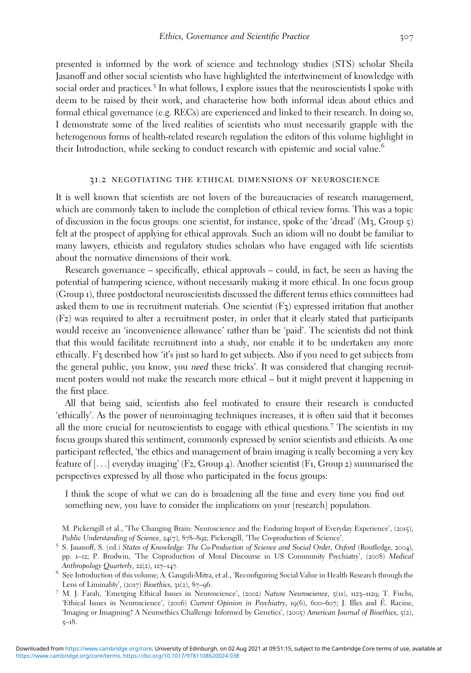presented is informed by the work of science and technology studies (STS) scholar Sheila Jasanoff and other social scientists who have highlighted the intertwinement of knowledge with social order and practices.<sup>5</sup> In what follows, I explore issues that the neuroscientists I spoke with deem to be raised by their work, and characterise how both informal ideas about ethics and formal ethical governance (e.g. RECs) are experienced and linked to their research. In doing so, I demonstrate some of the lived realities of scientists who must necessarily grapple with the heterogenous forms of health-related research regulation the editors of this volume highlight in their Introduction, while seeking to conduct research with epistemic and social value.<sup>6</sup>

#### 31.2 negotiating the ethical dimensions of neuroscience

It is well known that scientists are not lovers of the bureaucracies of research management, which are commonly taken to include the completion of ethical review forms. This was a topic of discussion in the focus groups: one scientist, for instance, spoke of the 'dread' (M3, Group 5) felt at the prospect of applying for ethical approvals. Such an idiom will no doubt be familiar to many lawyers, ethicists and regulatory studies scholars who have engaged with life scientists about the normative dimensions of their work.

Research governance – specifically, ethical approvals – could, in fact, be seen as having the potential of hampering science, without necessarily making it more ethical. In one focus group (Group 1), three postdoctoral neuroscientists discussed the different terms ethics committees had asked them to use in recruitment materials. One scientist  $(F_3)$  expressed irritation that another (F2) was required to alter a recruitment poster, in order that it clearly stated that participants would receive an 'inconvenience allowance' rather than be 'paid'. The scientists did not think that this would facilitate recruitment into a study, nor enable it to be undertaken any more ethically. F3 described how 'it's just so hard to get subjects. Also if you need to get subjects from the general public, you know, you need these tricks'. It was considered that changing recruitment posters would not make the research more ethical – but it might prevent it happening in the first place.

All that being said, scientists also feel motivated to ensure their research is conducted 'ethically'. As the power of neuroimaging techniques increases, it is often said that it becomes all the more crucial for neuroscientists to engage with ethical questions.<sup>7</sup> The scientists in my focus groups shared this sentiment, commonly expressed by senior scientists and ethicists. As one participant reflected, 'the ethics and management of brain imaging is really becoming a very key feature of [...] everyday imaging' (F2, Group 4). Another scientist (F1, Group 2) summarised the perspectives expressed by all those who participated in the focus groups:

I think the scope of what we can do is broadening all the time and every time you find out something new, you have to consider the implications on your [research] population.

M. Pickersgill et al., 'The Changing Brain: Neuroscience and the Enduring Import of Everyday Experience', (2015), Public Understanding of Science, 24(7), 878–892; Pickersgill, 'The Co-production of Science'.<br>5 S. Jasanoff, S. (ed.) States of Knowledge: The Co-Production of Science and Social Order, Oxford (Routledge, 2004),

pp. 1–12; P. Brodwin, 'The Coproduction of Moral Discourse in US Community Psychiatry', (2008) Medical

Anthropology Quarterly, 22(2), 127–147. 6 See Introduction of this volume; A. Ganguli-Mitra, et al., 'Reconfiguring Social Value in Health Research through the Lens of Liminality', (2017) Bioethics, 31(2), 87–96.<br>7 M. J. Farah, 'Emerging Ethical Issues in Neuroscience', (2002) Nature Neuroscience, 5(11), 1123–1129; T. Fuchs,

<sup>&#</sup>x27;Ethical Issues in Neuroscience', (2006) Current Opinion in Psychiatry, 19(6), 600–607; J. Illes and É. Racine, 'Imaging or Imagining? A Neuroethics Challenge Informed by Genetics', (2005) American Journal of Bioethics, 5(2), 5–18.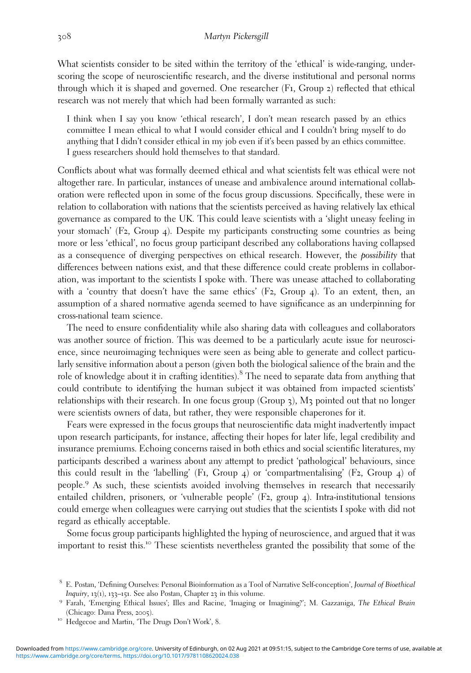What scientists consider to be sited within the territory of the 'ethical' is wide-ranging, underscoring the scope of neuroscientific research, and the diverse institutional and personal norms through which it is shaped and governed. One researcher (F1, Group 2) reflected that ethical research was not merely that which had been formally warranted as such:

I think when I say you know 'ethical research', I don't mean research passed by an ethics committee I mean ethical to what I would consider ethical and I couldn't bring myself to do anything that I didn't consider ethical in my job even if it's been passed by an ethics committee. I guess researchers should hold themselves to that standard.

Conflicts about what was formally deemed ethical and what scientists felt was ethical were not altogether rare. In particular, instances of unease and ambivalence around international collaboration were reflected upon in some of the focus group discussions. Specifically, these were in relation to collaboration with nations that the scientists perceived as having relatively lax ethical governance as compared to the UK. This could leave scientists with a 'slight uneasy feeling in your stomach' (F2, Group 4). Despite my participants constructing some countries as being more or less 'ethical', no focus group participant described any collaborations having collapsed as a consequence of diverging perspectives on ethical research. However, the possibility that differences between nations exist, and that these difference could create problems in collaboration, was important to the scientists I spoke with. There was unease attached to collaborating with a 'country that doesn't have the same ethics'  $(F_2, Group 4)$ . To an extent, then, an assumption of a shared normative agenda seemed to have significance as an underpinning for cross-national team science.

The need to ensure confidentiality while also sharing data with colleagues and collaborators was another source of friction. This was deemed to be a particularly acute issue for neuroscience, since neuroimaging techniques were seen as being able to generate and collect particularly sensitive information about a person (given both the biological salience of the brain and the role of knowledge about it in crafting identities).<sup>8</sup> The need to separate data from anything that could contribute to identifying the human subject it was obtained from impacted scientists' relationships with their research. In one focus group (Group  $\zeta$ ), M $\zeta$  pointed out that no longer were scientists owners of data, but rather, they were responsible chaperones for it.

Fears were expressed in the focus groups that neuroscientific data might inadvertently impact upon research participants, for instance, affecting their hopes for later life, legal credibility and insurance premiums. Echoing concerns raised in both ethics and social scientific literatures, my participants described a wariness about any attempt to predict 'pathological' behaviours, since this could result in the 'labelling' (F1, Group 4) or 'compartmentalising' (F2, Group 4) of people.<sup>9</sup> As such, these scientists avoided involving themselves in research that necessarily entailed children, prisoners, or 'vulnerable people' (F2, group 4). Intra-institutional tensions could emerge when colleagues were carrying out studies that the scientists I spoke with did not regard as ethically acceptable.

Some focus group participants highlighted the hyping of neuroscience, and argued that it was important to resist this.<sup>10</sup> These scientists nevertheless granted the possibility that some of the

<sup>&</sup>lt;sup>8</sup> E. Postan, 'Defining Ourselves: Personal Bioinformation as a Tool of Narrative Self-conception', *Journal of Bioethical Inquiry*, 13(1), 133–151. See also Postan, Chapter 23 in this volume.

<sup>&</sup>lt;sup>9</sup> Farah, 'Emerging Ethical Issues'; Illes and Racine, 'Imaging or Imagining?'; M. Gazzaniga, The Ethical Brain (Chicago: Dana Press, <sup>2005</sup>). <sup>10</sup> Hedgecoe and Martin, 'The Drugs Don't Work', <sup>8</sup>.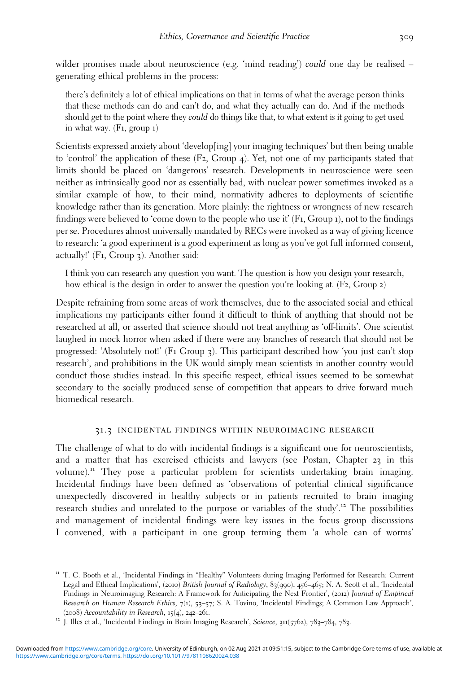wilder promises made about neuroscience (e.g. 'mind reading') could one day be realised – generating ethical problems in the process:

there's definitely a lot of ethical implications on that in terms of what the average person thinks that these methods can do and can't do, and what they actually can do. And if the methods should get to the point where they could do things like that, to what extent is it going to get used in what way. (F1, group 1)

Scientists expressed anxiety about 'develop[ing] your imaging techniques' but then being unable to 'control' the application of these (F2, Group 4). Yet, not one of my participants stated that limits should be placed on 'dangerous' research. Developments in neuroscience were seen neither as intrinsically good nor as essentially bad, with nuclear power sometimes invoked as a similar example of how, to their mind, normativity adheres to deployments of scientific knowledge rather than its generation. More plainly: the rightness or wrongness of new research findings were believed to 'come down to the people who use it' (F1, Group 1), not to the findings per se. Procedures almost universally mandated by RECs were invoked as a way of giving licence to research: 'a good experiment is a good experiment as long as you've got full informed consent, actually!' (F1, Group 3). Another said:

I think you can research any question you want. The question is how you design your research, how ethical is the design in order to answer the question you're looking at. (F2, Group 2)

Despite refraining from some areas of work themselves, due to the associated social and ethical implications my participants either found it difficult to think of anything that should not be researched at all, or asserted that science should not treat anything as 'off-limits'. One scientist laughed in mock horror when asked if there were any branches of research that should not be progressed: 'Absolutely not!' (F1 Group 3). This participant described how 'you just can't stop research', and prohibitions in the UK would simply mean scientists in another country would conduct those studies instead. In this specific respect, ethical issues seemed to be somewhat secondary to the socially produced sense of competition that appears to drive forward much biomedical research.

#### 31.3 incidental findings within neuroimaging research

The challenge of what to do with incidental findings is a significant one for neuroscientists, and a matter that has exercised ethicists and lawyers (see Postan, Chapter 23 in this volume).<sup>11</sup> They pose a particular problem for scientists undertaking brain imaging. Incidental findings have been defined as 'observations of potential clinical significance unexpectedly discovered in healthy subjects or in patients recruited to brain imaging research studies and unrelated to the purpose or variables of the study'. <sup>12</sup> The possibilities and management of incidental findings were key issues in the focus group discussions I convened, with a participant in one group terming them 'a whole can of worms'

<sup>&</sup>lt;sup>11</sup> T. C. Booth et al., 'Incidental Findings in "Healthy" Volunteers during Imaging Performed for Research: Current Legal and Ethical Implications', (2010) British Journal of Radiology, 83(990), 456–465; N. A. Scott et al., 'Incidental Findings in Neuroimaging Research: A Framework for Anticipating the Next Frontier', (2012) Journal of Empirical Research on Human Research Ethics, 7(1), 53–57; S. A. Tovino, 'Incidental Findings; A Common Law Approach', (2008) Accountability in Research, 15(4), 242–261.<br><sup>12</sup> J. Illes et al., 'Incidental Findings in Brain Imaging Research', Science, 311(5762), 783–784, 783.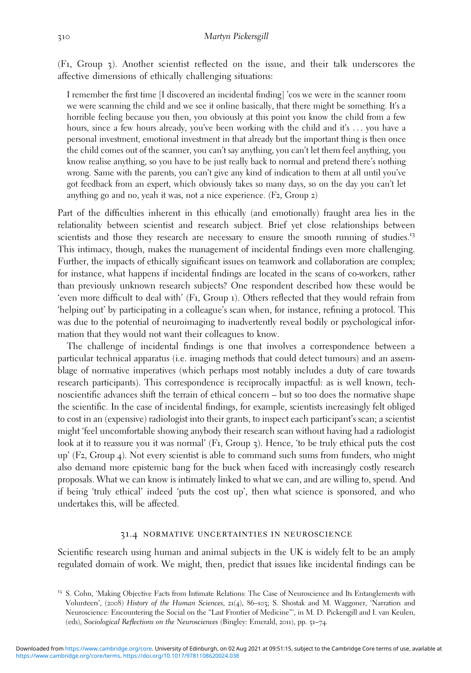(F1, Group 3). Another scientist reflected on the issue, and their talk underscores the affective dimensions of ethically challenging situations:

I remember the first time [I discovered an incidental finding] 'cos we were in the scanner room we were scanning the child and we see it online basically, that there might be something. It's a horrible feeling because you then, you obviously at this point you know the child from a few hours, since a few hours already, you've been working with the child and it's ... you have a personal investment, emotional investment in that already but the important thing is then once the child comes out of the scanner, you can't say anything, you can't let them feel anything, you know realise anything, so you have to be just really back to normal and pretend there's nothing wrong. Same with the parents, you can't give any kind of indication to them at all until you've got feedback from an expert, which obviously takes so many days, so on the day you can't let anything go and no, yeah it was, not a nice experience. (F2, Group 2)

Part of the difficulties inherent in this ethically (and emotionally) fraught area lies in the relationality between scientist and research subject. Brief yet close relationships between scientists and those they research are necessary to ensure the smooth running of studies.<sup>13</sup> This intimacy, though, makes the management of incidental findings even more challenging. Further, the impacts of ethically significant issues on teamwork and collaboration are complex; for instance, what happens if incidental findings are located in the scans of co-workers, rather than previously unknown research subjects? One respondent described how these would be 'even more difficult to deal with' (F1, Group 1). Others reflected that they would refrain from 'helping out' by participating in a colleague's scan when, for instance, refining a protocol. This was due to the potential of neuroimaging to inadvertently reveal bodily or psychological information that they would not want their colleagues to know.

The challenge of incidental findings is one that involves a correspondence between a particular technical apparatus (i.e. imaging methods that could detect tumours) and an assemblage of normative imperatives (which perhaps most notably includes a duty of care towards research participants). This correspondence is reciprocally impactful: as is well known, technoscientific advances shift the terrain of ethical concern – but so too does the normative shape the scientific. In the case of incidental findings, for example, scientists increasingly felt obliged to cost in an (expensive) radiologist into their grants, to inspect each participant's scan; a scientist might 'feel uncomfortable showing anybody their research scan without having had a radiologist look at it to reassure you it was normal' (F1, Group 3). Hence, 'to be truly ethical puts the cost up' (F2, Group 4). Not every scientist is able to command such sums from funders, who might also demand more epistemic bang for the buck when faced with increasingly costly research proposals. What we can know is intimately linked to what we can, and are willing to, spend. And if being 'truly ethical' indeed 'puts the cost up', then what science is sponsored, and who undertakes this, will be affected.

### 31.4 normative uncertainties in neuroscience

Scientific research using human and animal subjects in the UK is widely felt to be an amply regulated domain of work. We might, then, predict that issues like incidental findings can be

<sup>&</sup>lt;sup>13</sup> S. Cohn, 'Making Objective Facts from Intimate Relations: The Case of Neuroscience and Its Entanglements with Volunteers', (2008) History of the Human Sciences, 21(4), 86–103; S. Shostak and M. Waggoner, 'Narration and Neuroscience: Encountering the Social on the "Last Frontier of Medicine"', in M. D. Pickersgill and I. van Keulen, (eds), Sociological Reflections on the Neurosciences (Bingley: Emerald, 2011), pp. 51–74.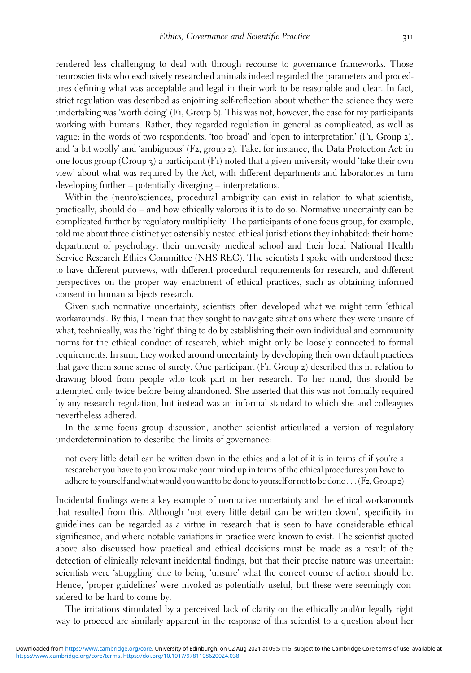rendered less challenging to deal with through recourse to governance frameworks. Those neuroscientists who exclusively researched animals indeed regarded the parameters and procedures defining what was acceptable and legal in their work to be reasonable and clear. In fact, strict regulation was described as enjoining self-reflection about whether the science they were undertaking was 'worth doing' (F1, Group 6). This was not, however, the case for my participants working with humans. Rather, they regarded regulation in general as complicated, as well as vague: in the words of two respondents, 'too broad' and 'open to interpretation' (F1, Group 2), and 'a bit woolly' and 'ambiguous' (F2, group 2). Take, for instance, the Data Protection Act: in one focus group (Group 3) a participant (F1) noted that a given university would 'take their own view' about what was required by the Act, with different departments and laboratories in turn developing further – potentially diverging – interpretations.

Within the (neuro)sciences, procedural ambiguity can exist in relation to what scientists, practically, should do – and how ethically valorous it is to do so. Normative uncertainty can be complicated further by regulatory multiplicity. The participants of one focus group, for example, told me about three distinct yet ostensibly nested ethical jurisdictions they inhabited: their home department of psychology, their university medical school and their local National Health Service Research Ethics Committee (NHS REC). The scientists I spoke with understood these to have different purviews, with different procedural requirements for research, and different perspectives on the proper way enactment of ethical practices, such as obtaining informed consent in human subjects research.

Given such normative uncertainty, scientists often developed what we might term 'ethical workarounds'. By this, I mean that they sought to navigate situations where they were unsure of what, technically, was the 'right' thing to do by establishing their own individual and community norms for the ethical conduct of research, which might only be loosely connected to formal requirements. In sum, they worked around uncertainty by developing their own default practices that gave them some sense of surety. One participant (F1, Group 2) described this in relation to drawing blood from people who took part in her research. To her mind, this should be attempted only twice before being abandoned. She asserted that this was not formally required by any research regulation, but instead was an informal standard to which she and colleagues nevertheless adhered.

In the same focus group discussion, another scientist articulated a version of regulatory underdetermination to describe the limits of governance:

not every little detail can be written down in the ethics and a lot of it is in terms of if you're a researcher you have to you know make your mind up in terms of the ethical procedures you have to adhere to yourself and what would you want to be done to yourself or not to be done ... (F2, Group 2)

Incidental findings were a key example of normative uncertainty and the ethical workarounds that resulted from this. Although 'not every little detail can be written down', specificity in guidelines can be regarded as a virtue in research that is seen to have considerable ethical significance, and where notable variations in practice were known to exist. The scientist quoted above also discussed how practical and ethical decisions must be made as a result of the detection of clinically relevant incidental findings, but that their precise nature was uncertain: scientists were 'struggling' due to being 'unsure' what the correct course of action should be. Hence, 'proper guidelines' were invoked as potentially useful, but these were seemingly considered to be hard to come by.

The irritations stimulated by a perceived lack of clarity on the ethically and/or legally right way to proceed are similarly apparent in the response of this scientist to a question about her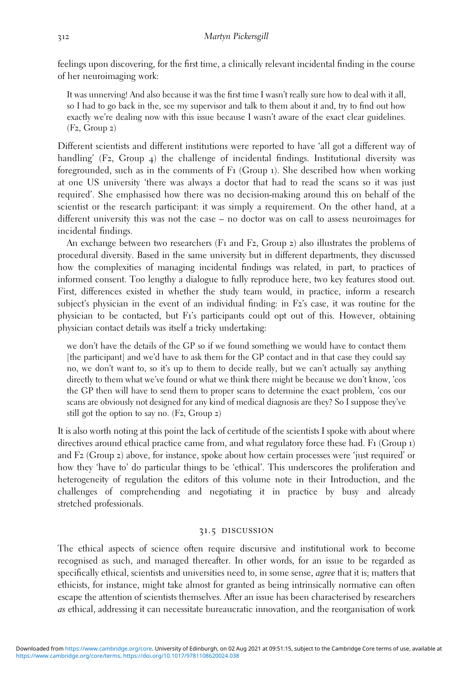feelings upon discovering, for the first time, a clinically relevant incidental finding in the course of her neuroimaging work:

It was unnerving! And also because it was the first time I wasn't really sure how to deal with it all, so I had to go back in the, see my supervisor and talk to them about it and, try to find out how exactly we're dealing now with this issue because I wasn't aware of the exact clear guidelines. (F2, Group 2)

Different scientists and different institutions were reported to have 'all got a different way of handling' (F2, Group 4) the challenge of incidental findings. Institutional diversity was foregrounded, such as in the comments of  $Fi$  (Group 1). She described how when working at one US university 'there was always a doctor that had to read the scans so it was just required'. She emphasised how there was no decision-making around this on behalf of the scientist or the research participant: it was simply a requirement. On the other hand, at a different university this was not the case – no doctor was on call to assess neuroimages for incidental findings.

An exchange between two researchers (F1 and F2, Group 2) also illustrates the problems of procedural diversity. Based in the same university but in different departments, they discussed how the complexities of managing incidental findings was related, in part, to practices of informed consent. Too lengthy a dialogue to fully reproduce here, two key features stood out. First, differences existed in whether the study team would, in practice, inform a research subject's physician in the event of an individual finding: in F2's case, it was routine for the physician to be contacted, but F1's participants could opt out of this. However, obtaining physician contact details was itself a tricky undertaking:

we don't have the details of the GP so if we found something we would have to contact them [the participant] and we'd have to ask them for the GP contact and in that case they could say no, we don't want to, so it's up to them to decide really, but we can't actually say anything directly to them what we've found or what we think there might be because we don't know, 'cos the GP then will have to send them to proper scans to determine the exact problem, 'cos our scans are obviously not designed for any kind of medical diagnosis are they? So I suppose they've still got the option to say no.  $(F_2, Group 2)$ 

It is also worth noting at this point the lack of certitude of the scientists I spoke with about where directives around ethical practice came from, and what regulatory force these had. F1 (Group 1) and F2 (Group 2) above, for instance, spoke about how certain processes were 'just required' or how they 'have to' do particular things to be 'ethical'. This underscores the proliferation and heterogeneity of regulation the editors of this volume note in their Introduction, and the challenges of comprehending and negotiating it in practice by busy and already stretched professionals.

## 31.5 discussion

The ethical aspects of science often require discursive and institutional work to become recognised as such, and managed thereafter. In other words, for an issue to be regarded as specifically ethical, scientists and universities need to, in some sense, *agree* that it is; matters that ethicists, for instance, might take almost for granted as being intrinsically normative can often escape the attention of scientists themselves. After an issue has been characterised by researchers as ethical, addressing it can necessitate bureaucratic innovation, and the reorganisation of work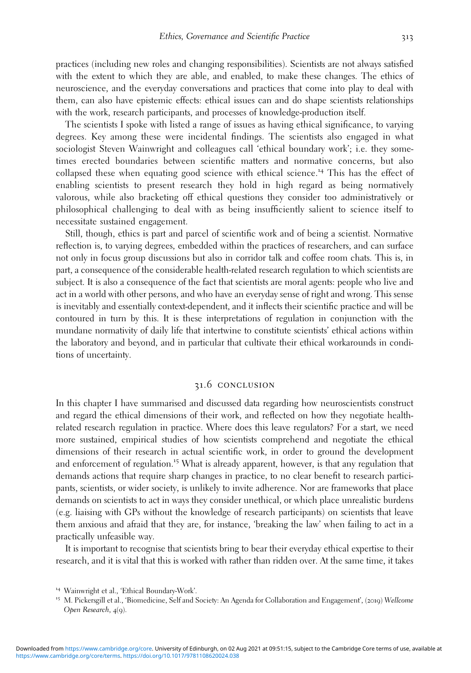practices (including new roles and changing responsibilities). Scientists are not always satisfied with the extent to which they are able, and enabled, to make these changes. The ethics of neuroscience, and the everyday conversations and practices that come into play to deal with them, can also have epistemic effects: ethical issues can and do shape scientists relationships with the work, research participants, and processes of knowledge-production itself.

The scientists I spoke with listed a range of issues as having ethical significance, to varying degrees. Key among these were incidental findings. The scientists also engaged in what sociologist Steven Wainwright and colleagues call 'ethical boundary work'; i.e. they sometimes erected boundaries between scientific matters and normative concerns, but also collapsed these when equating good science with ethical science.<sup>14</sup> This has the effect of enabling scientists to present research they hold in high regard as being normatively valorous, while also bracketing off ethical questions they consider too administratively or philosophical challenging to deal with as being insufficiently salient to science itself to necessitate sustained engagement.

Still, though, ethics is part and parcel of scientific work and of being a scientist. Normative reflection is, to varying degrees, embedded within the practices of researchers, and can surface not only in focus group discussions but also in corridor talk and coffee room chats. This is, in part, a consequence of the considerable health-related research regulation to which scientists are subject. It is also a consequence of the fact that scientists are moral agents: people who live and act in a world with other persons, and who have an everyday sense of right and wrong. This sense is inevitably and essentially context-dependent, and it inflects their scientific practice and will be contoured in turn by this. It is these interpretations of regulation in conjunction with the mundane normativity of daily life that intertwine to constitute scientists' ethical actions within the laboratory and beyond, and in particular that cultivate their ethical workarounds in conditions of uncertainty.

## 31.6 conclusion

In this chapter I have summarised and discussed data regarding how neuroscientists construct and regard the ethical dimensions of their work, and reflected on how they negotiate healthrelated research regulation in practice. Where does this leave regulators? For a start, we need more sustained, empirical studies of how scientists comprehend and negotiate the ethical dimensions of their research in actual scientific work, in order to ground the development and enforcement of regulation.<sup>15</sup> What is already apparent, however, is that any regulation that demands actions that require sharp changes in practice, to no clear benefit to research participants, scientists, or wider society, is unlikely to invite adherence. Nor are frameworks that place demands on scientists to act in ways they consider unethical, or which place unrealistic burdens (e.g. liaising with GPs without the knowledge of research participants) on scientists that leave them anxious and afraid that they are, for instance, 'breaking the law' when failing to act in a practically unfeasible way.

It is important to recognise that scientists bring to bear their everyday ethical expertise to their research, and it is vital that this is worked with rather than ridden over. At the same time, it takes

<sup>&</sup>lt;sup>14</sup> Wainwright et al., 'Ethical Boundary-Work'.<br><sup>15</sup> M. Pickersgill et al., 'Biomedicine, Self and Society: An Agenda for Collaboration and Engagement', (2019) W*ellcome* Open Research, 4(9).